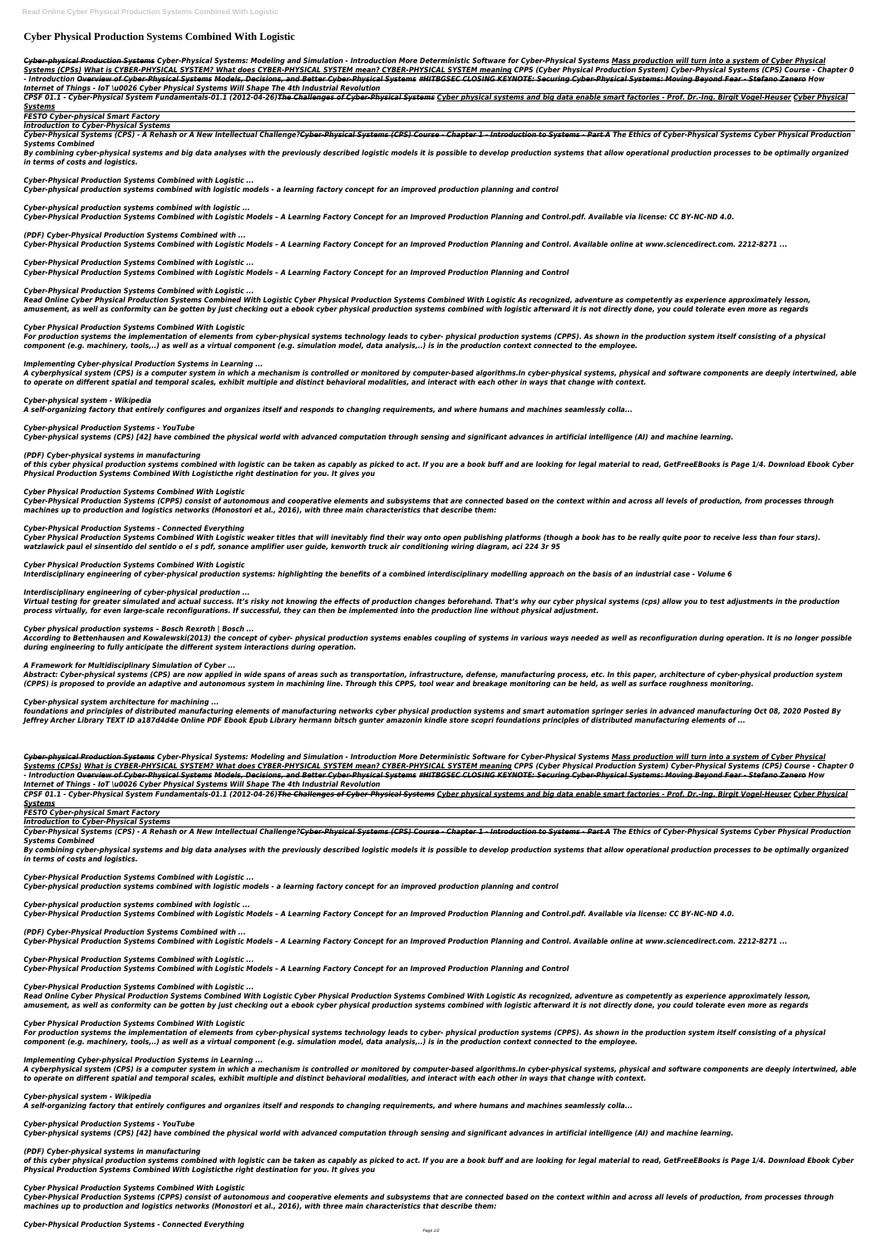# **Cyber Physical Production Systems Combined With Logistic**

*Cyber-physical Production Systems Cyber-Physical Systems: Modeling and Simulation - Introduction More Deterministic Software for Cyber-Physical Systems Mass production will turn into a system of Cyber Physical Systems (CPSs) What is CYBER-PHYSICAL SYSTEM? What does CYBER-PHYSICAL SYSTEM mean? CYBER-PHYSICAL SYSTEM meaning CPPS (Cyber Physical Production System) Cyber-Physical Systems (CPS) Course - Chapter 0* - Introduction Overview of Cyber-Physical Systems Models, Decisions, and Better Cyber-Physical Systems #HITBGSEC CLOSING KEYNOTE: Securing Cyber-Physical Systems: Moving Beyond Fear - Stefano Zanero How *Internet of Things - IoT \u0026 Cyber Physical Systems Will Shape The 4th Industrial Revolution*

CPSF 01.1 - Cyber-Physical System Fundamentals-01.1 (2012-04-26)The Challenges of Cyber-Physical Systems Cyber physical systems and big data enable smart factories - Prof. Dr.-Ing. Birgit Vogel-Heuser Cyber Physical *Systems*

Cyber-Physical Systems (CPS) - A Rehash or A New Intellectual Challenge?<del>Cyber-Physical Systems (CPS) Course - Chapter 1 - Introduction to Systems - Part A</del> The Ethics of Cyber-Physical Systems Cyber Physical Production *Systems Combined*

By combining cyber-physical systems and big data analyses with the previously described logistic models it is possible to develop production systems that allow operational production processes to be optimally organized *in terms of costs and logistics.*

*FESTO Cyber-physical Smart Factory*

*Introduction to Cyber-Physical Systems*

*Cyber-Physical Production Systems Combined with Logistic ...*

*Cyber-physical production systems combined with logistic models - a learning factory concept for an improved production planning and control*

*Cyber-physical production systems combined with logistic ...*

*Cyber-Physical Production Systems Combined with Logistic Models – A Learning Factory Concept for an Improved Production Planning and Control.pdf. Available via license: CC BY-NC-ND 4.0.*

*(PDF) Cyber-Physical Production Systems Combined with ...*

*Cyber-Physical Production Systems Combined with Logistic Models – A Learning Factory Concept for an Improved Production Planning and Control. Available online at www.sciencedirect.com. 2212-8271 ...*

*Cyber-Physical Production Systems Combined with Logistic ...*

*Cyber-Physical Production Systems Combined with Logistic Models – A Learning Factory Concept for an Improved Production Planning and Control*

*Cyber-Physical Production Systems Combined with Logistic ...*

*Read Online Cyber Physical Production Systems Combined With Logistic Cyber Physical Production Systems Combined With Logistic As recognized, adventure as competently as experience approximately lesson, amusement, as well as conformity can be gotten by just checking out a ebook cyber physical production systems combined with logistic afterward it is not directly done, you could tolerate even more as regards*

*Cyber Physical Production Systems Combined With Logistic*

Virtual testing for greater simulated and actual success. It's risky not knowing the effects of production changes beforehand. That's why our cyber physical systems (cps) allow you to test adjustments in the production *process virtually, for even large-scale reconfigurations. If successful, they can then be implemented into the production line without physical adjustment.*

*For production systems the implementation of elements from cyber-physical systems technology leads to cyber- physical production systems (CPPS). As shown in the production system itself consisting of a physical component (e.g. machinery, tools,..) as well as a virtual component (e.g. simulation model, data analysis,..) is in the production context connected to the employee.*

*Implementing Cyber-physical Production Systems in Learning ...*

Abstract: Cyber-physical systems (CPS) are now applied in wide spans of areas such as transportation, infrastructure, defense, manufacturing process, etc. In this paper, architecture of cyber-physical production system *(CPPS) is proposed to provide an adaptive and autonomous system in machining line. Through this CPPS, tool wear and breakage monitoring can be held, as well as surface roughness monitoring.*

*A cyberphysical system (CPS) is a computer system in which a mechanism is controlled or monitored by computer-based algorithms.In cyber-physical systems, physical and software components are deeply intertwined, able to operate on different spatial and temporal scales, exhibit multiple and distinct behavioral modalities, and interact with each other in ways that change with context.*

*Cyber-physical system - Wikipedia*

*A self-organizing factory that entirely configures and organizes itself and responds to changing requirements, and where humans and machines seamlessly colla...*

*Cyber-physical Production Systems - YouTube*

CPSF 01.1 - Cyber-Physical System Fundamentals-01.1 (2012-04-26)The Challenges of Cyber-Physical Systems Cyber physical systems and big data enable smart factories - Prof. Dr.-Ing. Birgit Vogel-Heuser Cyber Physical *Systems*

*Cyber-physical systems (CPS) [42] have combined the physical world with advanced computation through sensing and significant advances in artificial intelligence (AI) and machine learning.*

# *(PDF) Cyber-physical systems in manufacturing*

of this cyber physical production systems combined with logistic can be taken as capably as picked to act. If you are a book buff and are looking for legal material to read, GetFreeEBooks is Page 1/4. Download Ebook Cyber

Cyber-Physical Systems (CPS) - A Rehash or A New Intellectual Challenge?Cyber-Physical Systems (CPS) Course - Chapter 1 - Introduction to Systems - Part A The Ethics of Cyber-Physical Systems Cyber Physical Production *Systems Combined*

By combining cyber-physical systems and big data analyses with the previously described logistic models it is possible to develop production systems that allow operational production processes to be optimally organized *in terms of costs and logistics.*

#### *Physical Production Systems Combined With Logisticthe right destination for you. It gives you*

#### *Cyber Physical Production Systems Combined With Logistic*

*Cyber-Physical Production Systems (CPPS) consist of autonomous and cooperative elements and subsystems that are connected based on the context within and across all levels of production, from processes through machines up to production and logistics networks (Monostori et al., 2016), with three main characteristics that describe them:*

## *Cyber-Physical Production Systems - Connected Everything*

*Cyber Physical Production Systems Combined With Logistic weaker titles that will inevitably find their way onto open publishing platforms (though a book has to be really quite poor to receive less than four stars). watzlawick paul el sinsentido del sentido o el s pdf, sonance amplifier user guide, kenworth truck air conditioning wiring diagram, aci 224 3r 95*

## *Cyber Physical Production Systems Combined With Logistic*

*Interdisciplinary engineering of cyber-physical production systems: highlighting the benefits of a combined interdisciplinary modelling approach on the basis of an industrial case - Volume 6*

# *Interdisciplinary engineering of cyber-physical production ...*

of this cyber physical production systems combined with logistic can be taken as capably as picked to act. If you are a book buff and are looking for legal material to read, GetFreeEBooks is Page 1/4. Download Ebook Cyber *Physical Production Systems Combined With Logisticthe right destination for you. It gives you*

# *Cyber physical production systems – Bosch Rexroth | Bosch ...*

*According to Bettenhausen and Kowalewski(2013) the concept of cyber- physical production systems enables coupling of systems in various ways needed as well as reconfiguration during operation. It is no longer possible during engineering to fully anticipate the different system interactions during operation.*

# *A Framework for Multidisciplinary Simulation of Cyber ...*

# *Cyber-physical system architecture for machining ...*

*foundations and principles of distributed manufacturing elements of manufacturing networks cyber physical production systems and smart automation springer series in advanced manufacturing Oct 08, 2020 Posted By Jeffrey Archer Library TEXT ID a187d4d4e Online PDF Ebook Epub Library hermann bitsch gunter amazonin kindle store scopri foundations principles of distributed manufacturing elements of ...*

*Cyber-physical Production Systems Cyber-Physical Systems: Modeling and Simulation - Introduction More Deterministic Software for Cyber-Physical Systems Mass production will turn into a system of Cyber Physical Systems (CPSs) What is CYBER-PHYSICAL SYSTEM? What does CYBER-PHYSICAL SYSTEM mean? CYBER-PHYSICAL SYSTEM meaning CPPS (Cyber Physical Production System) Cyber-Physical Systems (CPS) Course - Chapter 0* - Introduction Overview of Cyber-Physical Systems Models, Decisions, and Better Cyber-Physical Systems #HITBGSEC CLOSING KEYNOTE: Securing Cyber-Physical Systems: Moving Beyond Fear - Stefano Zanero How *Internet of Things - IoT \u0026 Cyber Physical Systems Will Shape The 4th Industrial Revolution*

# *FESTO Cyber-physical Smart Factory*

*Introduction to Cyber-Physical Systems*

*Cyber-Physical Production Systems Combined with Logistic ...*

*Cyber-physical production systems combined with logistic models - a learning factory concept for an improved production planning and control*

*Cyber-physical production systems combined with logistic ...*

*Cyber-Physical Production Systems Combined with Logistic Models – A Learning Factory Concept for an Improved Production Planning and Control.pdf. Available via license: CC BY-NC-ND 4.0.*

# *(PDF) Cyber-Physical Production Systems Combined with ...*

*Cyber-Physical Production Systems Combined with Logistic Models – A Learning Factory Concept for an Improved Production Planning and Control. Available online at www.sciencedirect.com. 2212-8271 ...*

*Cyber-Physical Production Systems Combined with Logistic ...*

*Cyber-Physical Production Systems Combined with Logistic Models – A Learning Factory Concept for an Improved Production Planning and Control*

*Cyber-Physical Production Systems Combined with Logistic ...*

*Read Online Cyber Physical Production Systems Combined With Logistic Cyber Physical Production Systems Combined With Logistic As recognized, adventure as competently as experience approximately lesson, amusement, as well as conformity can be gotten by just checking out a ebook cyber physical production systems combined with logistic afterward it is not directly done, you could tolerate even more as regards*

*Cyber Physical Production Systems Combined With Logistic*

*For production systems the implementation of elements from cyber-physical systems technology leads to cyber- physical production systems (CPPS). As shown in the production system itself consisting of a physical component (e.g. machinery, tools,..) as well as a virtual component (e.g. simulation model, data analysis,..) is in the production context connected to the employee.*

*Implementing Cyber-physical Production Systems in Learning ...*

*A cyberphysical system (CPS) is a computer system in which a mechanism is controlled or monitored by computer-based algorithms.In cyber-physical systems, physical and software components are deeply intertwined, able to operate on different spatial and temporal scales, exhibit multiple and distinct behavioral modalities, and interact with each other in ways that change with context.*

*Cyber-physical system - Wikipedia*

*A self-organizing factory that entirely configures and organizes itself and responds to changing requirements, and where humans and machines seamlessly colla...*

*Cyber-physical Production Systems - YouTube Cyber-physical systems (CPS) [42] have combined the physical world with advanced computation through sensing and significant advances in artificial intelligence (AI) and machine learning.*

*(PDF) Cyber-physical systems in manufacturing*

*Cyber Physical Production Systems Combined With Logistic*

*Cyber-Physical Production Systems (CPPS) consist of autonomous and cooperative elements and subsystems that are connected based on the context within and across all levels of production, from processes through machines up to production and logistics networks (Monostori et al., 2016), with three main characteristics that describe them:*

*Cyber-Physical Production Systems - Connected Everything*